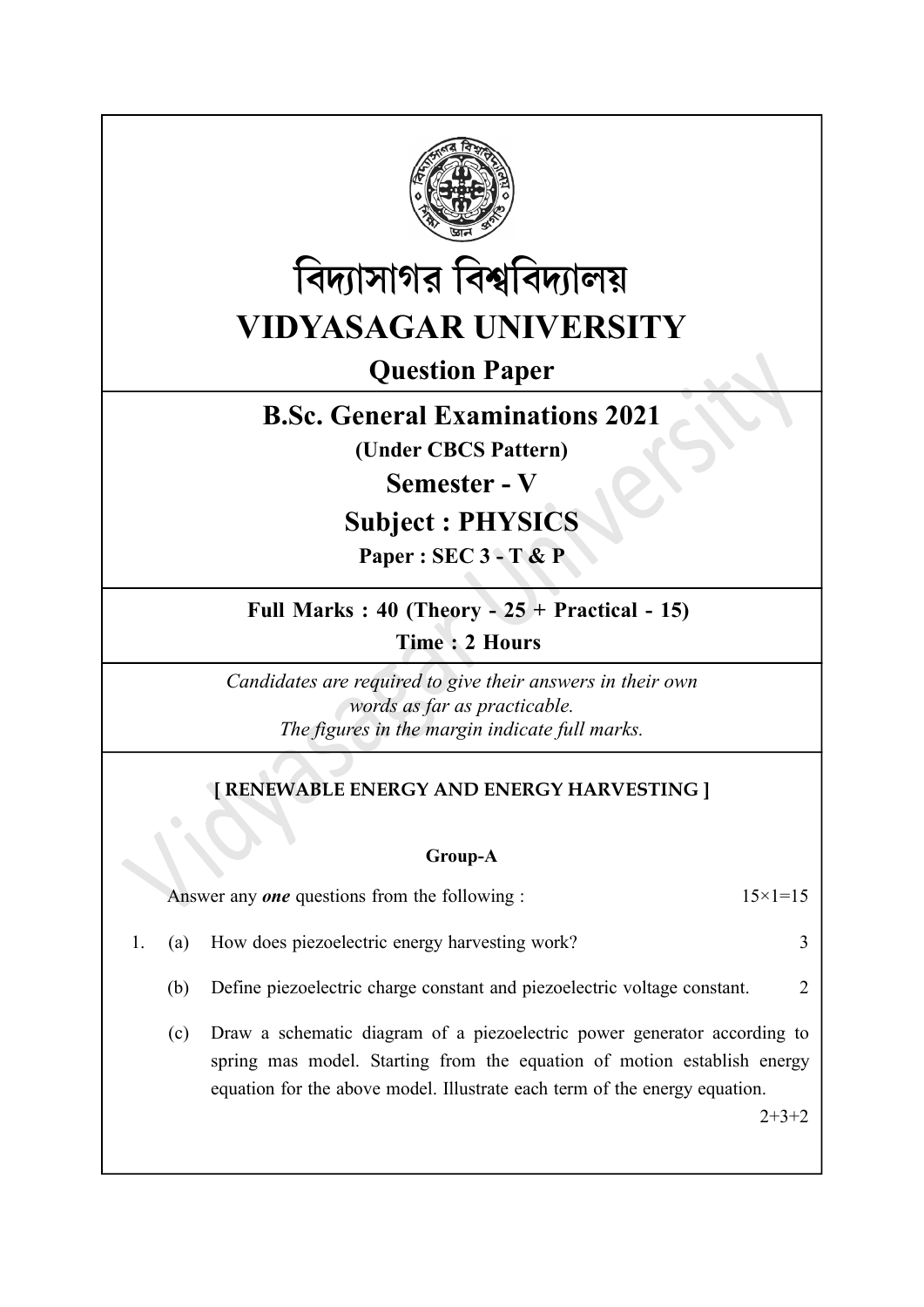



# Question Paper

## B.Sc. General Examinations 2021

(Under CBCS Pattern)

Semester - V

## Subject : PHYSICS

Paper : SEC 3 - T & P

## Full Marks :  $40$  (Theory -  $25 +$  Practical - 15)

Time : 2 Hours

Candidates are required to give their answers in their own words as far as practicable. The figures in the margin indicate full marks.

## [ RENEWABLE ENERGY AND ENERGY HARVESTING ]

#### Group-A

|--|

1. (a) How does piezoelectric energy harvesting work? 3

- (b) Define piezoelectric charge constant and piezoelectric voltage constant. 2
- (c) Draw a schematic diagram of a piezoelectric power generator according to spring mas model. Starting from the equation of motion establish energy equation for the above model. Illustrate each term of the energy equation.

 $2+3+2$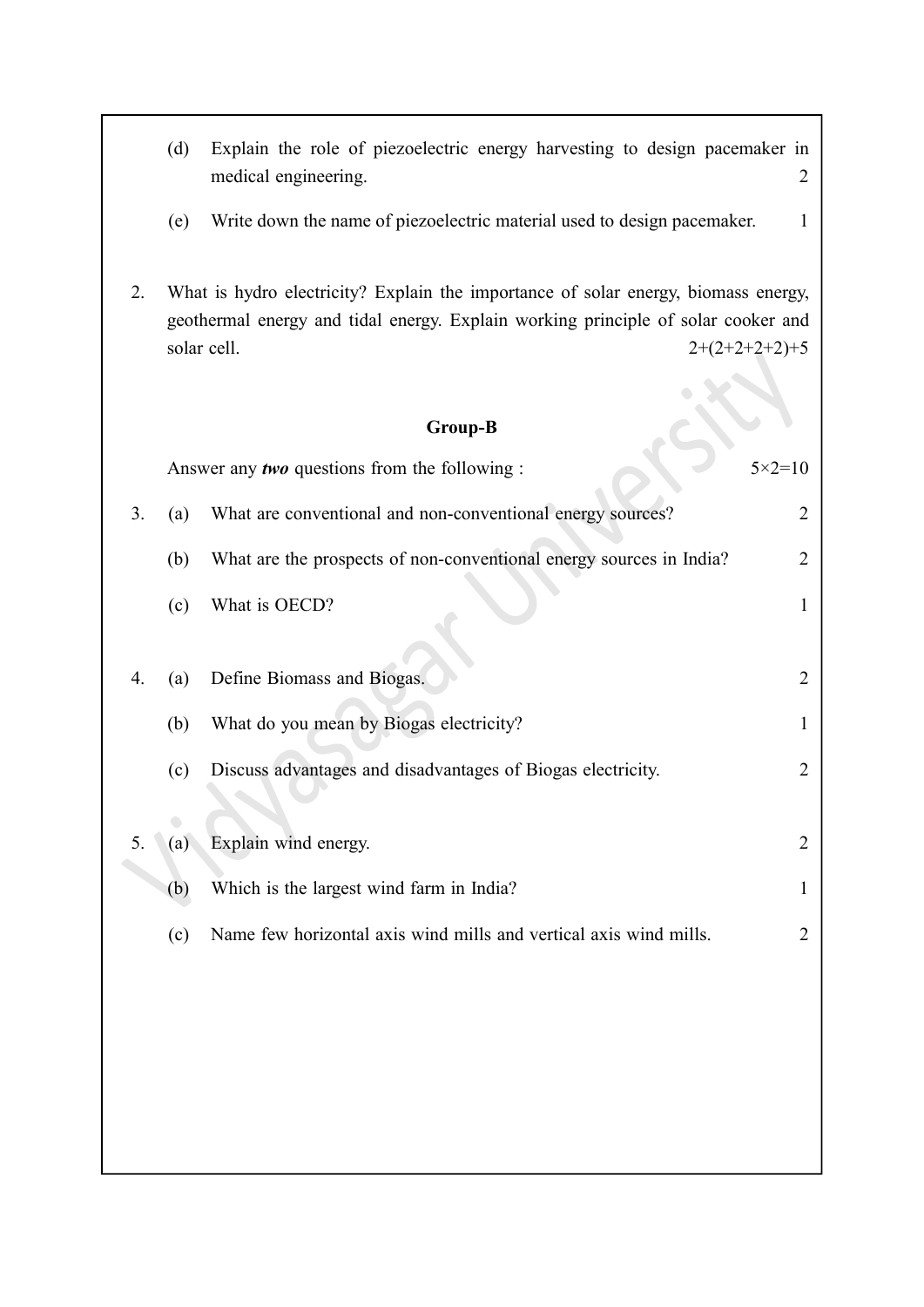- (d) Explain the role of piezoelectric energy harvesting to design pacemaker in medical engineering. 2
- (e) Write down the name of piezoelectric material used to design pacemaker. 1
- 2. What is hydro electricity? Explain the importance of solar energy, biomass energy, geothermal energy and tidal energy. Explain working principle of solar cooker and solar cell.  $2+(2+2+2+2)+5$

### Group-B

|    |     | Answer any <i>two</i> questions from the following :                | $5 \times 2 = 10$ |
|----|-----|---------------------------------------------------------------------|-------------------|
| 3. | (a) | What are conventional and non-conventional energy sources?          | $\overline{2}$    |
|    | (b) | What are the prospects of non-conventional energy sources in India? | $\overline{2}$    |
|    | (c) | What is OECD?                                                       | 1                 |
| 4. | (a) | Define Biomass and Biogas.                                          | $\overline{2}$    |
|    | (b) | What do you mean by Biogas electricity?                             | 1                 |
|    | (c) | Discuss advantages and disadvantages of Biogas electricity.         | $\overline{2}$    |
|    |     |                                                                     |                   |
| 5. | (a) | Explain wind energy.                                                | $\overline{2}$    |
|    | (b) | Which is the largest wind farm in India?                            | 1                 |
|    | (c) | Name few horizontal axis wind mills and vertical axis wind mills.   | 2                 |
|    |     |                                                                     |                   |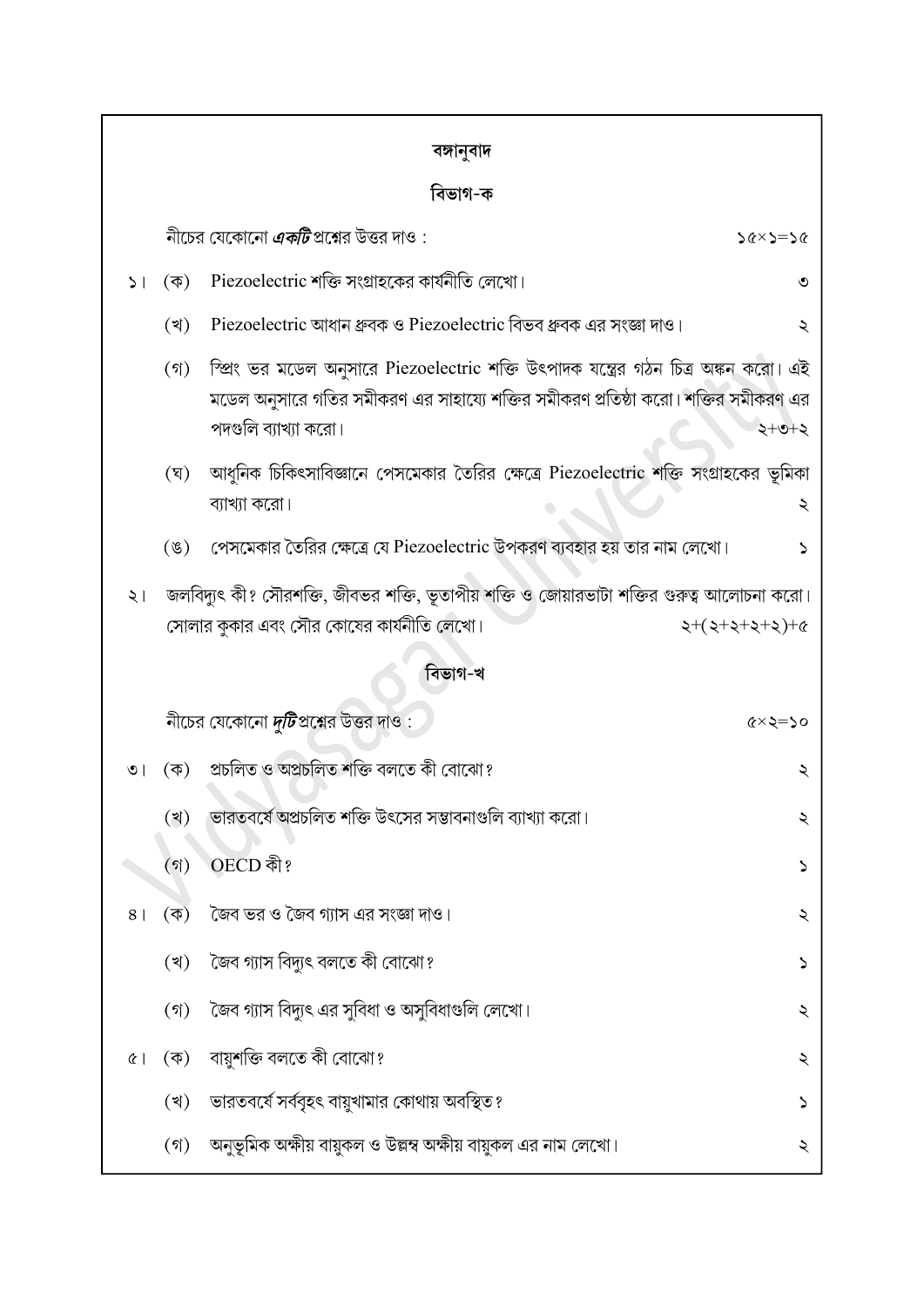| বঙ্গানুবাদ |
|------------|
|            |

### <u> নিভাগ-ক</u>

| ।ଏভାগ-ক         |                                                                                                                                                                        |                                                                                                                                                                                                   |                            |  |  |  |
|-----------------|------------------------------------------------------------------------------------------------------------------------------------------------------------------------|---------------------------------------------------------------------------------------------------------------------------------------------------------------------------------------------------|----------------------------|--|--|--|
|                 |                                                                                                                                                                        | নীচের যেকোনো <i><b>একটি</b></i> প্রশ্নের উত্তর দাও :                                                                                                                                              | $56 \times 2 = 26$         |  |  |  |
| 51 <sub>1</sub> | $(\overline{\Phi})$                                                                                                                                                    | Piezoelectric শক্তি সংগ্রাহকের কার্যনীতি লেখো।                                                                                                                                                    | ৩                          |  |  |  |
|                 | (খ)                                                                                                                                                                    | Piezoelectric আধান ধ্রুবক ও Piezoelectric বিভব ধ্রুবক এর সংজ্ঞা দাও।                                                                                                                              | ২                          |  |  |  |
|                 | $($ গ)                                                                                                                                                                 | স্প্রিং ভর মডেল অনুসারে Piezoelectric শক্তি উৎপাদক যন্ত্রের গঠন চিত্র অঙ্কন করো। এই<br>মডেল অনুসারে গতির সমীকরণ এর সাহায্যে শক্তির সমীকরণ প্রতিষ্ঠা করো। শক্তির সমীকরণ এর<br>পদগুলি ব্যাখ্যা করো। | $2+0+2$                    |  |  |  |
|                 | (ঘ্)                                                                                                                                                                   | আধুনিক চিকিৎসাবিজ্ঞানে পেসমেকার তৈরির ক্ষেত্রে Piezoelectric শক্তি সংগ্রাহকের ভূমিকা<br>ব্যাখ্যা করো।                                                                                             | ২                          |  |  |  |
|                 | $(\mathscr{G})$                                                                                                                                                        | পেসমেকার তৈরির ক্ষেত্রে যে Piezoelectric উপকরণ ব্যবহার হয় তার নাম লেখো।                                                                                                                          | ১                          |  |  |  |
| $\zeta$ ।       | জলবিদ্যুৎ কী? সৌরশক্তি, জীবভর শক্তি, ভূতাপীয় শক্তি ও জোয়ারভাটা শক্তির গুরুত্ব আলোচনা করো।<br>সোলার কুকার এবং সৌর কোষের কার্যনীতি লেখো।<br>$2+(2+2+2+2)+6$<br>বিভাগ-খ |                                                                                                                                                                                                   |                            |  |  |  |
|                 |                                                                                                                                                                        |                                                                                                                                                                                                   |                            |  |  |  |
|                 |                                                                                                                                                                        | নীচের যেকোনো <i>দুটি</i> প্রশ্নের উত্তর দাও :                                                                                                                                                     | $\alpha \times \alpha = 0$ |  |  |  |
| $\circ$         | $(\overline{\Phi})$                                                                                                                                                    | প্ৰচলিত ও অপ্ৰচলিত শক্তি বলতে কী বোঝো?                                                                                                                                                            | ২                          |  |  |  |
|                 | (খ)                                                                                                                                                                    | ভারতবর্ষে অপ্রচলিত শক্তি উৎসের সম্ভাবনাগুলি ব্যাখ্যা করো।                                                                                                                                         | ২                          |  |  |  |
|                 | (গ)                                                                                                                                                                    | OECD কী?                                                                                                                                                                                          | ↘                          |  |  |  |
| 8 <sup>1</sup>  | $(\overline{\Phi})$                                                                                                                                                    | জৈব ভর ও জৈব গ্যাস এর সংজ্ঞা দাও।                                                                                                                                                                 | ২                          |  |  |  |
|                 | (খ)                                                                                                                                                                    | জৈব গ্যাস বিদ্যুৎ বলতে কী বোঝো?                                                                                                                                                                   | ১                          |  |  |  |
|                 | (3)                                                                                                                                                                    | জৈব গ্যাস বিদ্যুৎ এর সুবিধা ও অসুবিধাগুলি লেখো।                                                                                                                                                   | ২                          |  |  |  |
| $\alpha$        | $(\vec{\Phi})$                                                                                                                                                         | বায়ুশক্তি বলতে কী বোঝো?                                                                                                                                                                          | ২                          |  |  |  |
|                 | (খ)                                                                                                                                                                    | ভারতবর্ষে সর্ববৃহৎ বায়ুখামার কোথায় অবস্থিত ?                                                                                                                                                    | ১                          |  |  |  |
|                 | $(\mathfrak{h})$                                                                                                                                                       | অনুভূমিক অক্ষীয় বায়ুকল ও উল্লম্ব অক্ষীয় বায়ুকল এর নাম লেখো।                                                                                                                                   | ২                          |  |  |  |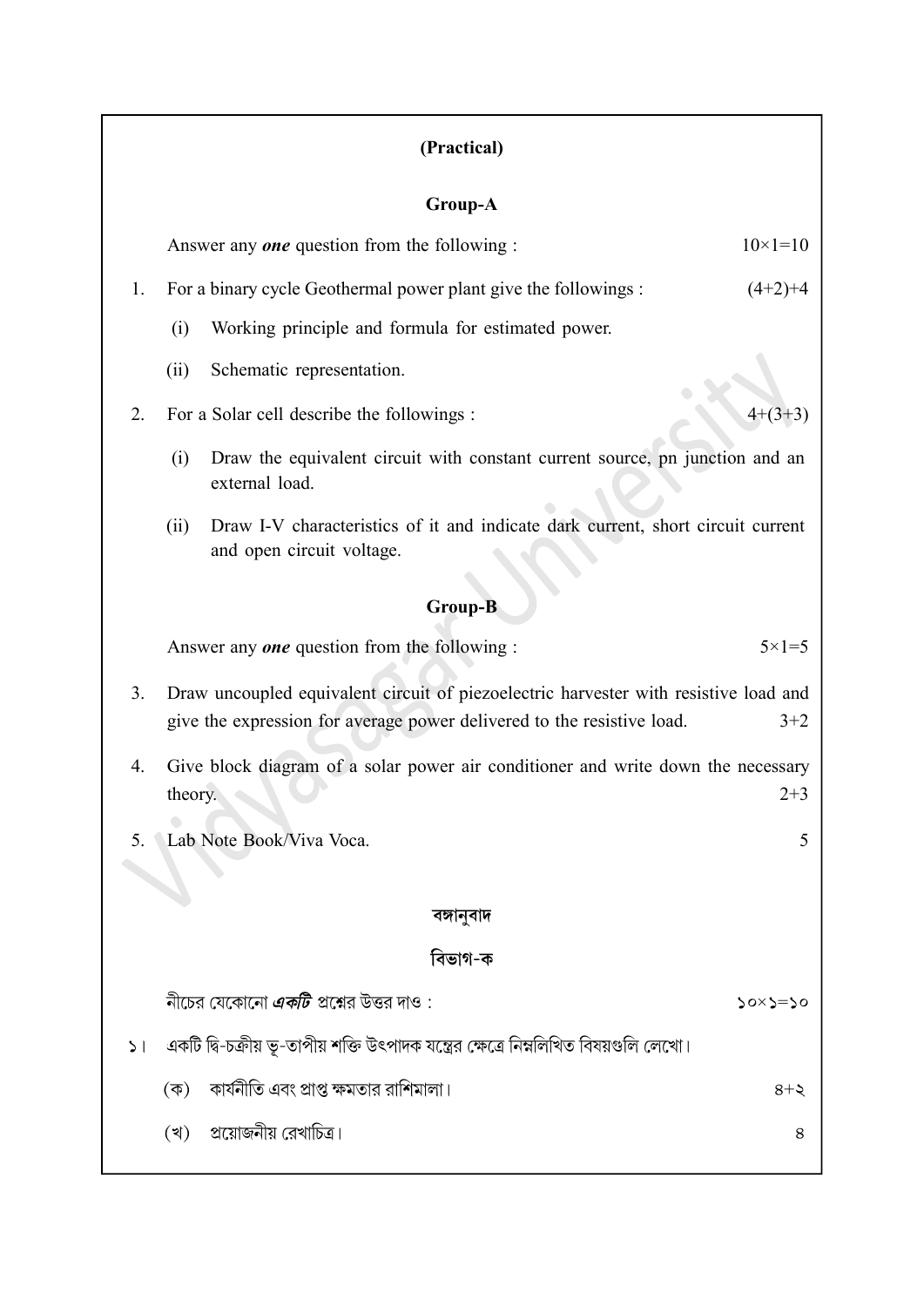### (Practical)

#### Group-A

Answer any **one** question from the following :  $10 \times 1 = 10$ 

- 1. For a binary cycle Geothermal power plant give the followings : (4+2)+4
	- (i) Working principle and formula for estimated power.
	- (ii) Schematic representation.

### 2. For a Solar cell describe the followings :  $4+(3+3)$

- (i) Draw the equivalent circuit with constant current source, pn junction and an external load.
- (ii) Draw I-V characteristics of it and indicate dark current, short circuit current and open circuit voltage.

#### Group-B

Answer any *one* question from the following :  $5 \times 1 = 5$ 

- 3. Draw uncoupled equivalent circuit of piezoelectric harvester with resistive load and give the expression for average power delivered to the resistive load.  $3+2$
- 4. Give block diagram of a solar power air conditioner and write down the necessary theory. 2+3
- 5. Lab Note Book/Viva Voca. 5

#### বঙ্গানুবাদ

### বিভাগ-ক

নীচের যেকোনো *একটি* প্রশ্নের উত্তর দাও :  $50x5=50$ 

- ১। একটি দ্বি-চক্রীয় ভূ-তাপীয় শক্তি উৎপাদক যন্ত্রের ক্ষেত্রে নিম্নলিখিত বিষয়গুলি লেখো।
	- (ক) কার্যনীতি এবং প্রাপ্ত ক্ষমতার রাশিমালা।  $8 + 5$
	- (খ) প্রয়োজনীয় রেখাচিত্র।